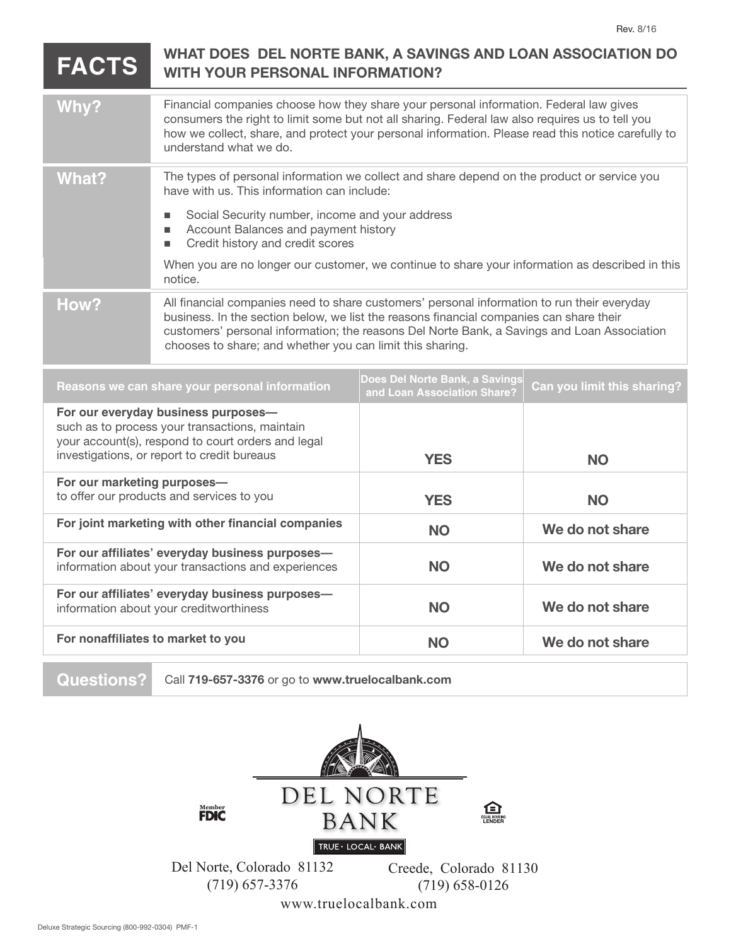**We do not share**

**We do not share**

## **FACTS WHAT DOES DEL NORTE BANK, A SAVINGS AND LOAN ASSOCIATION DO WITH YOUR PERSONAL INFORMATION?**

| Why?                                                                                                                                                                                       | Financial companies choose how they share your personal information. Federal law gives<br>consumers the right to limit some but not all sharing. Federal law also requires us to tell you<br>how we collect, share, and protect your personal information. Please read this notice carefully to<br>understand what we do.                          |                                                               |                             |
|--------------------------------------------------------------------------------------------------------------------------------------------------------------------------------------------|----------------------------------------------------------------------------------------------------------------------------------------------------------------------------------------------------------------------------------------------------------------------------------------------------------------------------------------------------|---------------------------------------------------------------|-----------------------------|
| <b>What?</b>                                                                                                                                                                               | The types of personal information we collect and share depend on the product or service you<br>have with us. This information can include:                                                                                                                                                                                                         |                                                               |                             |
|                                                                                                                                                                                            | Social Security number, income and your address<br>п<br>Account Balances and payment history<br>Credit history and credit scores<br>п                                                                                                                                                                                                              |                                                               |                             |
|                                                                                                                                                                                            | When you are no longer our customer, we continue to share your information as described in this<br>notice.                                                                                                                                                                                                                                         |                                                               |                             |
| How?                                                                                                                                                                                       | All financial companies need to share customers' personal information to run their everyday<br>business. In the section below, we list the reasons financial companies can share their<br>customers' personal information; the reasons Del Norte Bank, a Savings and Loan Association<br>chooses to share; and whether you can limit this sharing. |                                                               |                             |
| Reasons we can share your personal information                                                                                                                                             |                                                                                                                                                                                                                                                                                                                                                    | Does Del Norte Bank, a Savings<br>and Loan Association Share? | Can you limit this sharing? |
| For our everyday business purposes-<br>such as to process your transactions, maintain<br>your account(s), respond to court orders and legal<br>investigations, or report to credit bureaus |                                                                                                                                                                                                                                                                                                                                                    | <b>YES</b>                                                    | <b>NO</b>                   |
| For our marketing purposes-<br>to offer our products and services to you                                                                                                                   |                                                                                                                                                                                                                                                                                                                                                    | <b>YES</b>                                                    | <b>NO</b>                   |
| For joint marketing with other financial companies                                                                                                                                         |                                                                                                                                                                                                                                                                                                                                                    | <b>NO</b>                                                     | We do not share             |
| For our affiliates' everyday business purposes-<br>information about your transactions and experiences                                                                                     |                                                                                                                                                                                                                                                                                                                                                    | <b>NO</b>                                                     | We do not share             |
| For our affiliates' everyday business purposes-                                                                                                                                            |                                                                                                                                                                                                                                                                                                                                                    |                                                               |                             |

**NO**

**NO**

**For nonaffiliates to market to you**

information about your creditworthiness

**Questions?** Call **719-657-3376** or go to **www.truelocalbank.com**